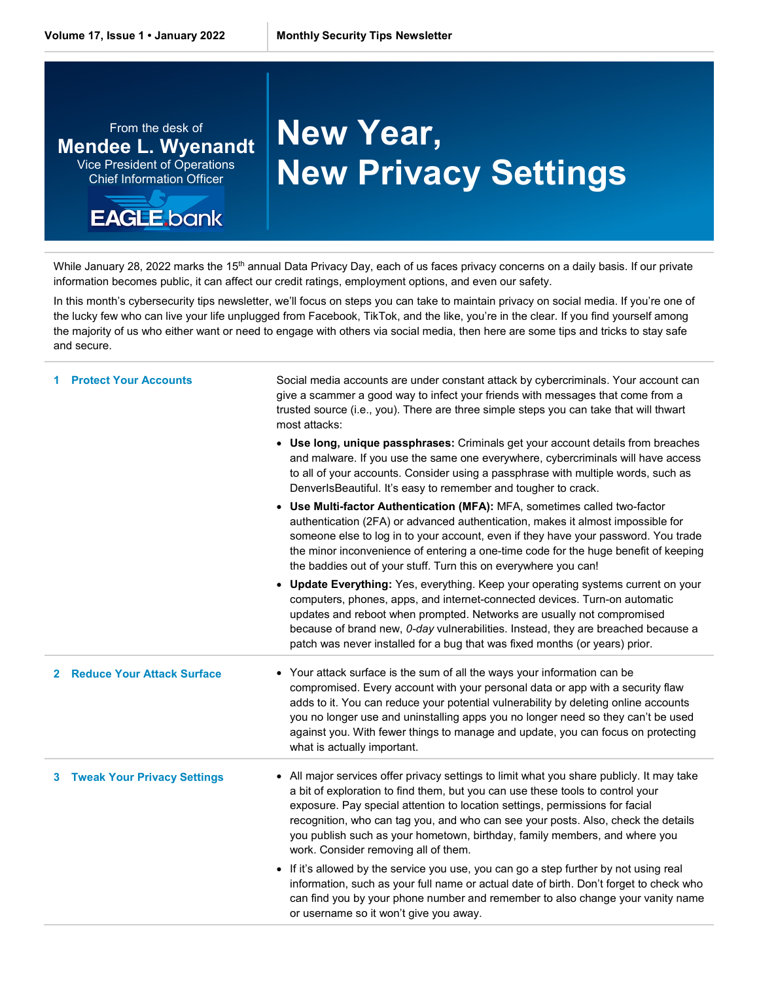From the desk of **Mendee L. Wyenandt** Vice President of Operations Chief Information Officer

## **EAGLE** bank

## **New Year, New Privacy Settings**

While January 28, 2022 marks the 15<sup>th</sup> annual Data Privacy Day, each of us faces privacy concerns on a daily basis. If our private information becomes public, it can affect our credit ratings, employment options, and even our safety.

In this month's cybersecurity tips newsletter, we'll focus on steps you can take to maintain privacy on social media. If you're one of the lucky few who can live your life unplugged from Facebook, TikTok, and the like, you're in the clear. If you find yourself among the majority of us who either want or need to engage with others via social media, then here are some tips and tricks to stay safe and secure.

|              | <b>Protect Your Accounts</b>       | Social media accounts are under constant attack by cybercriminals. Your account can<br>give a scammer a good way to infect your friends with messages that come from a<br>trusted source (i.e., you). There are three simple steps you can take that will thwart<br>most attacks:                                                                                                                                                                                      |
|--------------|------------------------------------|------------------------------------------------------------------------------------------------------------------------------------------------------------------------------------------------------------------------------------------------------------------------------------------------------------------------------------------------------------------------------------------------------------------------------------------------------------------------|
|              |                                    | • Use long, unique passphrases: Criminals get your account details from breaches<br>and malware. If you use the same one everywhere, cybercriminals will have access<br>to all of your accounts. Consider using a passphrase with multiple words, such as<br>DenverIsBeautiful. It's easy to remember and tougher to crack.                                                                                                                                            |
|              |                                    | • Use Multi-factor Authentication (MFA): MFA, sometimes called two-factor<br>authentication (2FA) or advanced authentication, makes it almost impossible for<br>someone else to log in to your account, even if they have your password. You trade<br>the minor inconvenience of entering a one-time code for the huge benefit of keeping<br>the baddies out of your stuff. Turn this on everywhere you can!                                                           |
|              |                                    | <b>Update Everything: Yes, everything. Keep your operating systems current on your</b><br>computers, phones, apps, and internet-connected devices. Turn-on automatic<br>updates and reboot when prompted. Networks are usually not compromised<br>because of brand new, <i>0-day</i> vulnerabilities. Instead, they are breached because a<br>patch was never installed for a bug that was fixed months (or years) prior.                                              |
| $\mathbf{2}$ | <b>Reduce Your Attack Surface</b>  | • Your attack surface is the sum of all the ways your information can be<br>compromised. Every account with your personal data or app with a security flaw<br>adds to it. You can reduce your potential vulnerability by deleting online accounts<br>you no longer use and uninstalling apps you no longer need so they can't be used<br>against you. With fewer things to manage and update, you can focus on protecting<br>what is actually important.               |
| 3            | <b>Tweak Your Privacy Settings</b> | • All major services offer privacy settings to limit what you share publicly. It may take<br>a bit of exploration to find them, but you can use these tools to control your<br>exposure. Pay special attention to location settings, permissions for facial<br>recognition, who can tag you, and who can see your posts. Also, check the details<br>you publish such as your hometown, birthday, family members, and where you<br>work. Consider removing all of them. |
|              |                                    | • If it's allowed by the service you use, you can go a step further by not using real<br>information, such as your full name or actual date of birth. Don't forget to check who<br>can find you by your phone number and remember to also change your vanity name<br>or username so it won't give you away.                                                                                                                                                            |